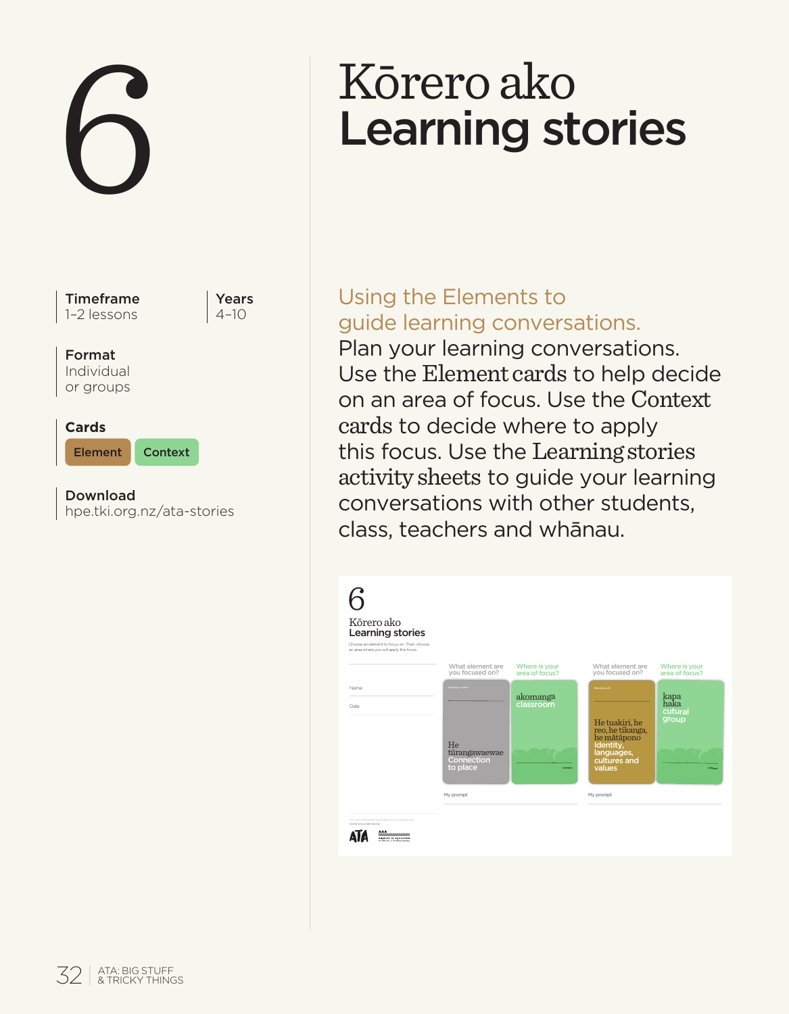

# Learning stories

# Using the Elements to guide learning conversations.

Plan your learning conversations. Use the Element cards to help decide on an area of focus. Use the Context cards to decide where to apply this focus. Use the Learning stories activity sheets to guide your learning conversations with other students, class, teachers and whānau.

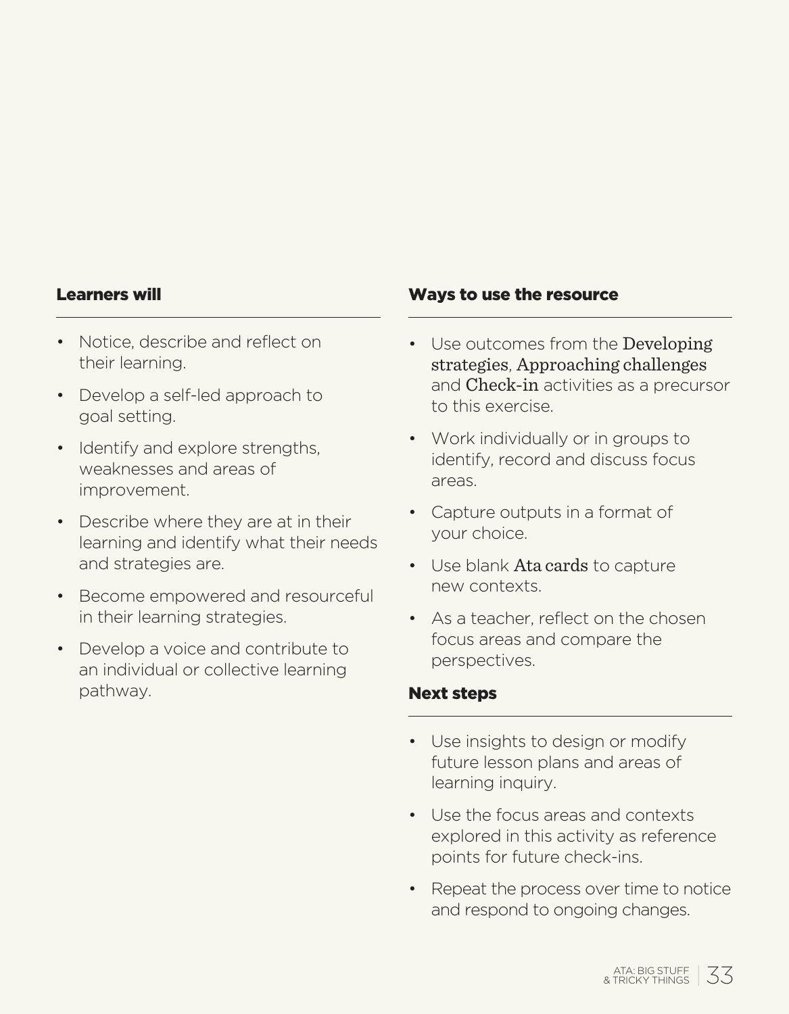#### Learners will

- Notice, describe and reflect on their learning.
- Develop a self-led approach to goal setting.
- Identify and explore strengths. weaknesses and areas of improvement.
- Describe where they are at in their learning and identify what their needs and strategies are.
- Become empowered and resourceful in their learning strategies.
- Develop a voice and contribute to an individual or collective learning pathway.

#### Ways to use the resource

- Use outcomes from the Developing strategies, Approaching challenges and Check-in activities as a precursor to this exercise.
- Work individually or in groups to identify, record and discuss focus areas.
- Capture outputs in a format of your choice.
- Use blank Ata cards to capture new contexts.
- As a teacher, reflect on the chosen focus areas and compare the perspectives.

#### Next steps

- Use insights to design or modify future lesson plans and areas of learning inquiry.
- Use the focus areas and contexts explored in this activity as reference points for future check-ins.
- Repeat the process over time to notice and respond to ongoing changes.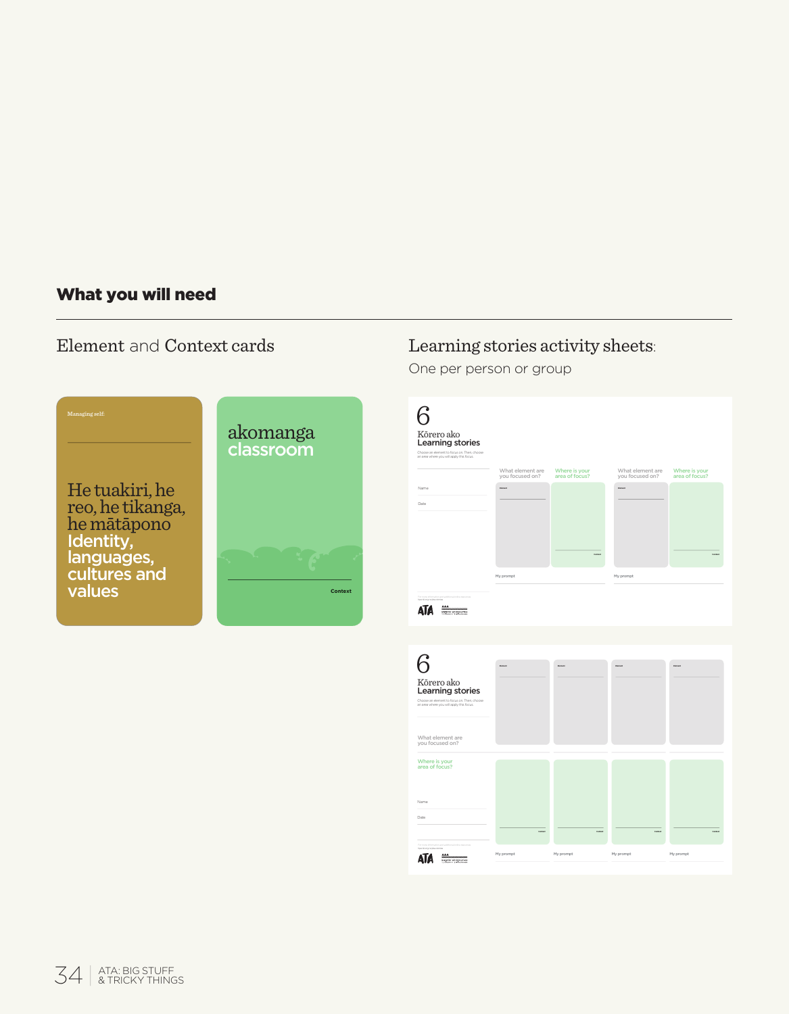# What you will need

# Element and Context cards



# Learning stories activity sheets:

One per person or group

| Kôrero ako<br>Learning stories<br>Choose at element to focus on. Then, choose<br>at awarehere you will apply this focus.       | What element are<br>you focused on? | Where is your<br>area of focus? | What element are<br>you focused on? | Where is your<br>area of focus? |
|--------------------------------------------------------------------------------------------------------------------------------|-------------------------------------|---------------------------------|-------------------------------------|---------------------------------|
| Name<br>Date                                                                                                                   | $\sim$                              |                                 | $\sim$                              |                                 |
| ATA =                                                                                                                          | My prompt                           |                                 | My prompt                           |                                 |
|                                                                                                                                |                                     |                                 |                                     |                                 |
| 6<br>Kõrero ako<br>Learning stories<br>Choose at element to focus on. Then, choose<br>at away where you will apply this focus. |                                     |                                 |                                     |                                 |
| What element are<br>you focused on?                                                                                            |                                     |                                 |                                     |                                 |
| Where is your<br>area of focus?                                                                                                |                                     |                                 |                                     |                                 |
|                                                                                                                                |                                     |                                 |                                     |                                 |
| Name<br>Date                                                                                                                   |                                     |                                 | ÷                                   |                                 |